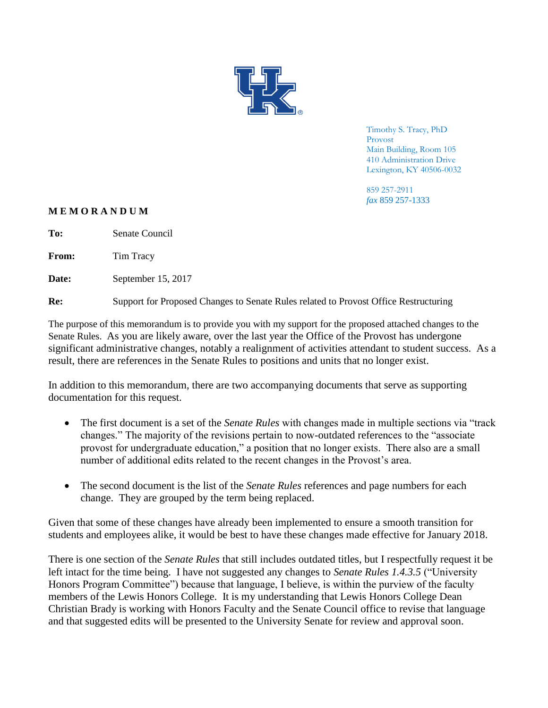

Timothy S. Tracy, PhD Provost Main Building, Room 105 410 Administration Drive Lexington, KY 40506-0032

859 257-2911 *fax* 859 257-1333

## **M E M O R A N D U M**

**To:** Senate Council

From: Tim Tracy

Date: September 15, 2017

**Re:** Support for Proposed Changes to Senate Rules related to Provost Office Restructuring

The purpose of this memorandum is to provide you with my support for the proposed attached changes to the Senate Rules. As you are likely aware, over the last year the Office of the Provost has undergone significant administrative changes, notably a realignment of activities attendant to student success. As a result, there are references in the Senate Rules to positions and units that no longer exist.

In addition to this memorandum, there are two accompanying documents that serve as supporting documentation for this request.

- The first document is a set of the *Senate Rules* with changes made in multiple sections via "track changes." The majority of the revisions pertain to now-outdated references to the "associate provost for undergraduate education," a position that no longer exists. There also are a small number of additional edits related to the recent changes in the Provost's area.
- The second document is the list of the *Senate Rules* references and page numbers for each change. They are grouped by the term being replaced.

Given that some of these changes have already been implemented to ensure a smooth transition for students and employees alike, it would be best to have these changes made effective for January 2018.

There is one section of the *Senate Rules* that still includes outdated titles, but I respectfully request it be left intact for the time being. I have not suggested any changes to *Senate Rules 1.4.3.5* ("University Honors Program Committee") because that language, I believe, is within the purview of the faculty members of the Lewis Honors College. It is my understanding that Lewis Honors College Dean Christian Brady is working with Honors Faculty and the Senate Council office to revise that language and that suggested edits will be presented to the University Senate for review and approval soon.